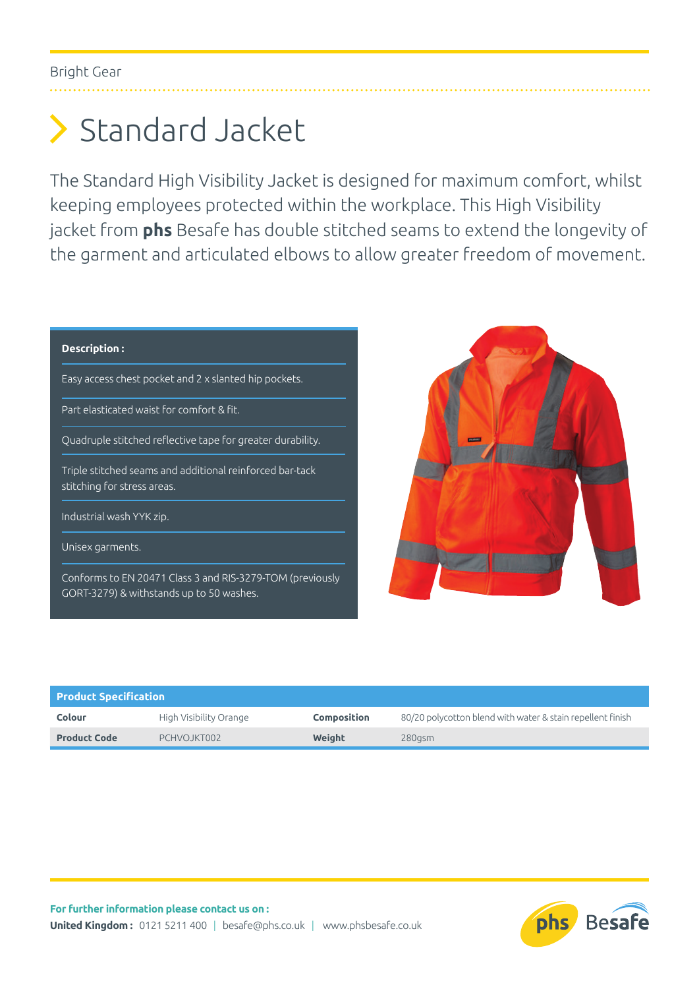## Standard Jacket

The Standard High Visibility Jacket is designed for maximum comfort, whilst keeping employees protected within the workplace. This High Visibility jacket from **phs** Besafe has double stitched seams to extend the longevity of the garment and articulated elbows to allow greater freedom of movement.

## **Description :**

Easy access chest pocket and 2 x slanted hip pockets.

Part elasticated waist for comfort & fit.

Quadruple stitched reflective tape for greater durability.

Triple stitched seams and additional reinforced bar-tack stitching for stress areas.

Industrial wash YYK zip.

Unisex garments.

Conforms to EN 20471 Class 3 and RIS-3279-TOM (previously GORT-3279) & withstands up to 50 washes.



| <b>Product Specification</b> |                        |                    |                                                            |  |
|------------------------------|------------------------|--------------------|------------------------------------------------------------|--|
| Colour                       | High Visibility Orange | <b>Composition</b> | 80/20 polycotton blend with water & stain repellent finish |  |
| <b>Product Code</b>          | PCHVOJKT002            | Weight             | $280$ asm                                                  |  |